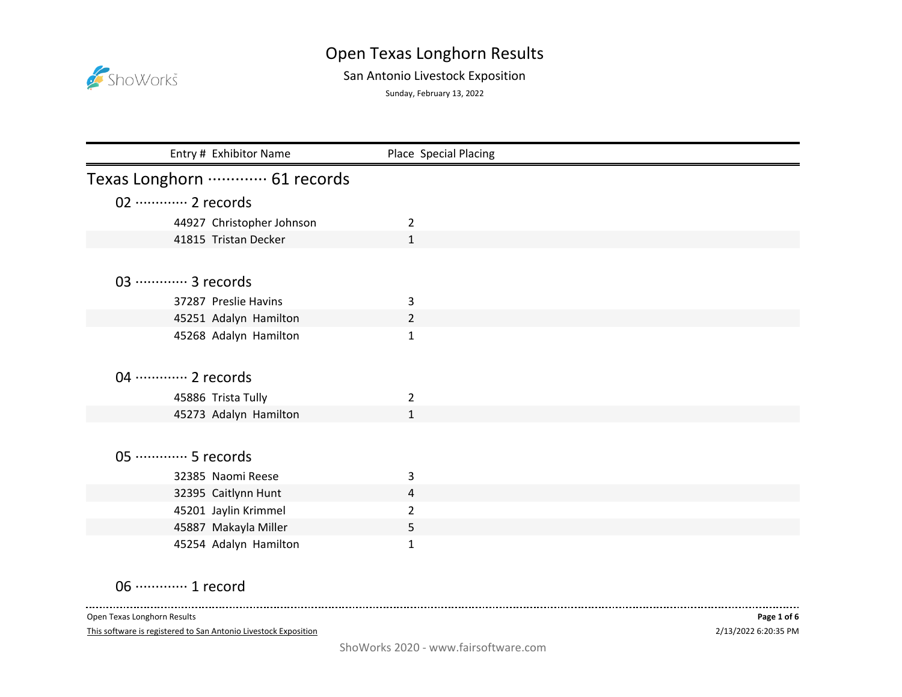## ShoWorks

## Open Texas Longhorn Results

## San Antonio Livestock Exposition

Sunday, February 13, 2022

| Entry # Exhibitor Name         | Place Special Placing |
|--------------------------------|-----------------------|
| Texas Longhorn ………… 61 records |                       |
| 02 ············· 2 records     |                       |
| 44927 Christopher Johnson      | $\overline{2}$        |
| 41815 Tristan Decker           | $\mathbf{1}$          |
|                                |                       |
| 03 ………… 3 records              |                       |
| 37287 Preslie Havins           | 3                     |
| 45251 Adalyn Hamilton          | $\overline{2}$        |
| 45268 Adalyn Hamilton          | $\mathbf{1}$          |
|                                |                       |
| 04 ………… 2 records              |                       |
| 45886 Trista Tully             | 2                     |
| 45273 Adalyn Hamilton          | $\mathbf{1}$          |
|                                |                       |
| 05 ·············· 5 records    |                       |
| 32385 Naomi Reese              | 3                     |
| 32395 Caitlynn Hunt            | 4                     |
| 45201 Jaylin Krimmel           | $\overline{2}$        |
| 45887 Makayla Miller           | 5                     |
| 45254 Adalyn Hamilton          | 1                     |

06 ·············· 1 record

Open Texas Longhorn Results

 $\sim$   $\sim$   $\sim$ 

This software is registered to San Antonio Livestock Exposition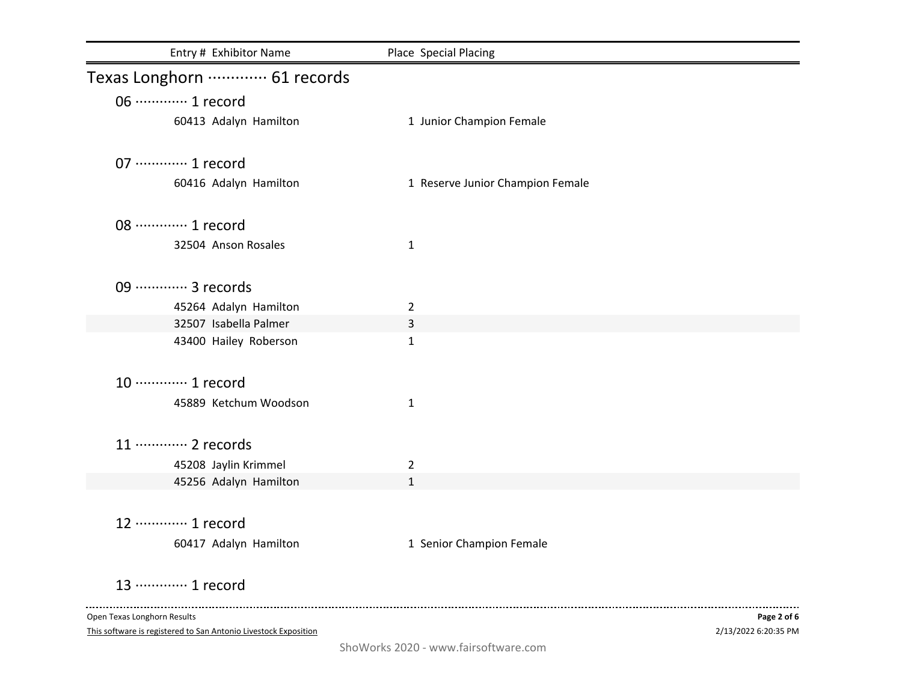| Entry # Exhibitor Name                                          | Place Special Placing            |                      |
|-----------------------------------------------------------------|----------------------------------|----------------------|
| Texas Longhorn ………… 61 records                                  |                                  |                      |
| 06 ············· 1 record                                       |                                  |                      |
| 60413 Adalyn Hamilton                                           | 1 Junior Champion Female         |                      |
| 07 ·············· 1 record                                      |                                  |                      |
| 60416 Adalyn Hamilton                                           | 1 Reserve Junior Champion Female |                      |
| 08 ············· 1 record                                       |                                  |                      |
| 32504 Anson Rosales                                             | $\mathbf{1}$                     |                      |
| 09 ·············· 3 records                                     |                                  |                      |
| 45264 Adalyn Hamilton                                           | $\overline{2}$                   |                      |
| 32507 Isabella Palmer                                           | 3                                |                      |
| 43400 Hailey Roberson                                           | $\mathbf{1}$                     |                      |
| 10 ············· 1 record                                       |                                  |                      |
| 45889 Ketchum Woodson                                           | $\mathbf{1}$                     |                      |
| 11 ………… 2 records                                               |                                  |                      |
| 45208 Jaylin Krimmel                                            | $\overline{2}$                   |                      |
| 45256 Adalyn Hamilton                                           | 1                                |                      |
| 12 ………… 1 record                                                |                                  |                      |
| 60417 Adalyn Hamilton                                           | 1 Senior Champion Female         |                      |
| 13 ………… 1 record                                                |                                  |                      |
| Open Texas Longhorn Results                                     |                                  | Page 2 of 6          |
| This software is registered to San Antonio Livestock Exposition |                                  | 2/13/2022 6:20:35 PM |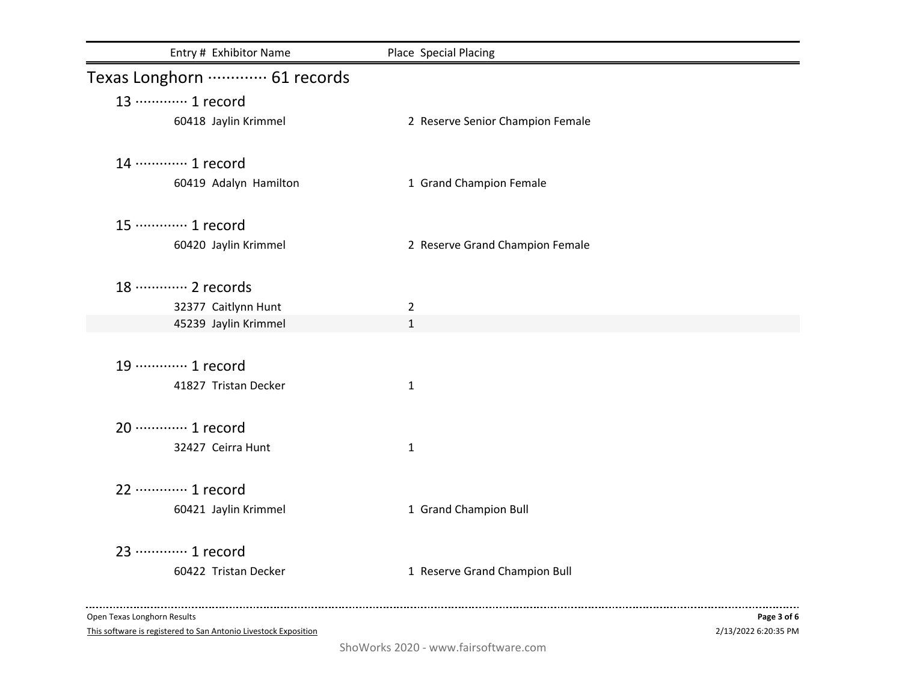| Entry # Exhibitor Name         | Place Special Placing            |             |
|--------------------------------|----------------------------------|-------------|
| Texas Longhorn ………… 61 records |                                  |             |
| 13 ………… 1 record               |                                  |             |
| 60418 Jaylin Krimmel           | 2 Reserve Senior Champion Female |             |
| 14 ………… 1 record               |                                  |             |
| 60419 Adalyn Hamilton          | 1 Grand Champion Female          |             |
| 15 ············· 1 record      |                                  |             |
| 60420 Jaylin Krimmel           | 2 Reserve Grand Champion Female  |             |
| 18 ………… 2 records              |                                  |             |
| 32377 Caitlynn Hunt            | $\overline{2}$                   |             |
| 45239 Jaylin Krimmel           | $\mathbf{1}$                     |             |
| 19 ………… 1 record               |                                  |             |
| 41827 Tristan Decker           | 1                                |             |
| 20 ············· 1 record      |                                  |             |
| 32427 Ceirra Hunt              | 1                                |             |
| 22 ………… 1 record               |                                  |             |
| 60421 Jaylin Krimmel           | 1 Grand Champion Bull            |             |
| 23 ………… 1 record               |                                  |             |
| 60422 Tristan Decker           | 1 Reserve Grand Champion Bull    |             |
| Open Texas Longhorn Results    |                                  | Page 3 of 6 |

This software is registered to San Antonio Livestock Exposition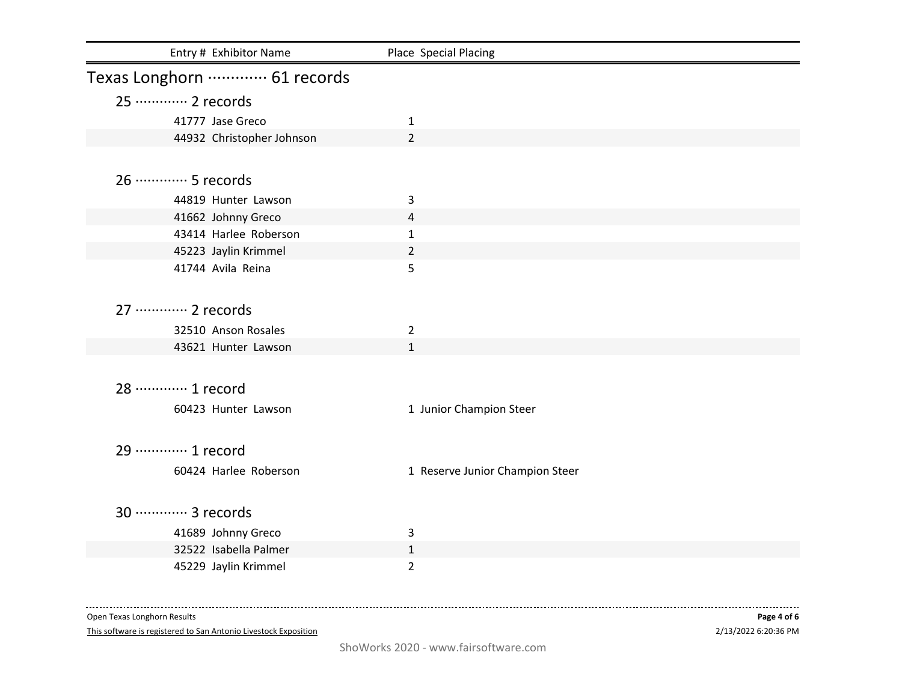| Entry # Exhibitor Name         | Place Special Placing           |
|--------------------------------|---------------------------------|
| Texas Longhorn ………… 61 records |                                 |
| 25 ………… 2 records              |                                 |
| 41777 Jase Greco               | $\mathbf{1}$                    |
| 44932 Christopher Johnson      | $\overline{2}$                  |
|                                |                                 |
| 26 ………… 5 records              |                                 |
| 44819 Hunter Lawson            | 3                               |
| 41662 Johnny Greco             | 4                               |
| 43414 Harlee Roberson          | $\mathbf{1}$                    |
| 45223 Jaylin Krimmel           | $\overline{2}$                  |
| 41744 Avila Reina              | 5                               |
|                                |                                 |
| 27 ………… 2 records              |                                 |
| 32510 Anson Rosales            | $\overline{2}$                  |
| 43621 Hunter Lawson            | $\mathbf{1}$                    |
|                                |                                 |
| 28 ………… 1 record               |                                 |
| 60423 Hunter Lawson            | 1 Junior Champion Steer         |
|                                |                                 |
| 29 ………… 1 record               |                                 |
| 60424 Harlee Roberson          | 1 Reserve Junior Champion Steer |
|                                |                                 |
|                                |                                 |
| 30 ············· 3 records     |                                 |
| 41689 Johnny Greco             | 3                               |
| 32522 Isabella Palmer          | $\mathbf{1}$                    |
| 45229 Jaylin Krimmel           | $\overline{2}$                  |

Open Texas Longhorn Results

This software is registered to San Antonio Livestock Exposition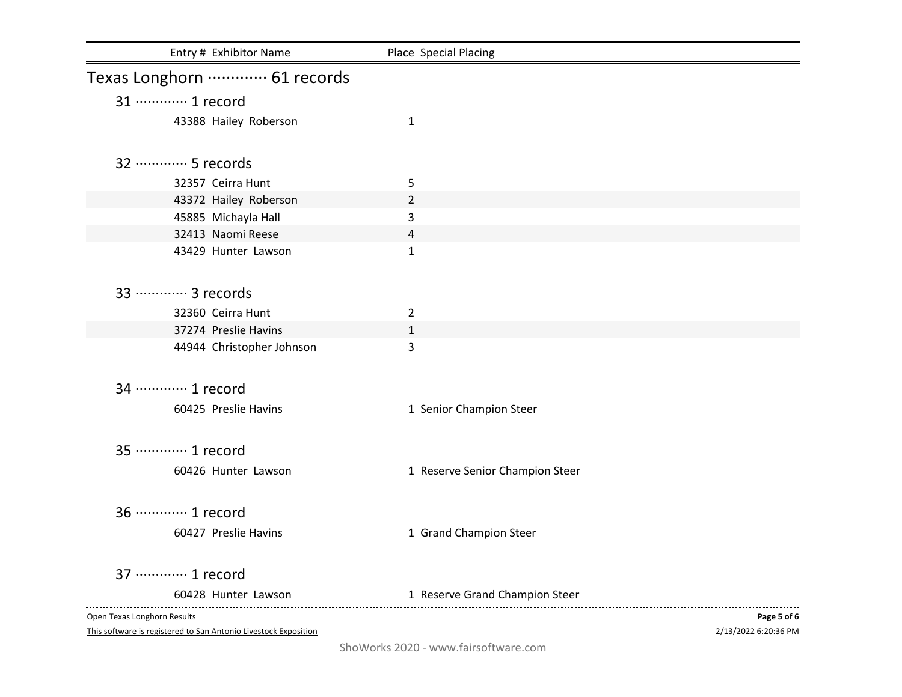| Entry # Exhibitor Name                                          | Place Special Placing           |                      |
|-----------------------------------------------------------------|---------------------------------|----------------------|
| Texas Longhorn ………… 61 records                                  |                                 |                      |
| 31 ………… 1 record                                                |                                 |                      |
| 43388 Hailey Roberson                                           | 1                               |                      |
| 32 ………… 5 records                                               |                                 |                      |
| 32357 Ceirra Hunt                                               | 5                               |                      |
| 43372 Hailey Roberson                                           | $\overline{2}$                  |                      |
| 45885 Michayla Hall                                             | 3                               |                      |
| 32413 Naomi Reese                                               | 4                               |                      |
| 43429 Hunter Lawson                                             | 1                               |                      |
| 33 ………… 3 records                                               |                                 |                      |
| 32360 Ceirra Hunt                                               | $\overline{2}$                  |                      |
| 37274 Preslie Havins                                            | $\mathbf{1}$                    |                      |
| 44944 Christopher Johnson                                       | 3                               |                      |
| 34 ………… 1 record                                                |                                 |                      |
| 60425 Preslie Havins                                            | 1 Senior Champion Steer         |                      |
| 35 ………… 1 record                                                |                                 |                      |
| 60426 Hunter Lawson                                             | 1 Reserve Senior Champion Steer |                      |
| 36 ………… 1 record                                                |                                 |                      |
| 60427 Preslie Havins                                            | 1 Grand Champion Steer          |                      |
| 37 ………… 1 record                                                |                                 |                      |
| 60428 Hunter Lawson                                             | 1 Reserve Grand Champion Steer  |                      |
| Open Texas Longhorn Results                                     |                                 | Page 5 of 6          |
| This software is registered to San Antonio Livestock Exposition |                                 | 2/13/2022 6:20:36 PM |